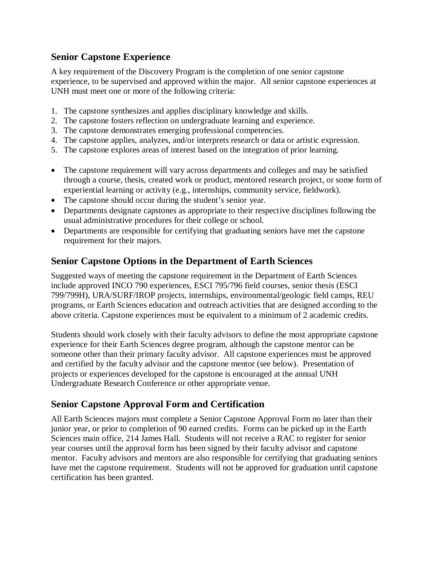## **Senior Capstone Experience**

A key requirement of the Discovery Program is the completion of one senior capstone experience, to be supervised and approved within the major. All senior capstone experiences at UNH must meet one or more of the following criteria:

- 1. The capstone synthesizes and applies disciplinary knowledge and skills.
- 2. The capstone fosters reflection on undergraduate learning and experience.
- 3. The capstone demonstrates emerging professional competencies.
- 4. The capstone applies, analyzes, and/or interprets research or data or artistic expression.
- 5. The capstone explores areas of interest based on the integration of prior learning.
- The capstone requirement will vary across departments and colleges and may be satisfied through a course, thesis, created work or product, mentored research project, or some form of experiential learning or activity (e.g., internships, community service, fieldwork).
- The capstone should occur during the student's senior year.
- Departments designate capstones as appropriate to their respective disciplines following the usual administrative procedures for their college or school.
- Departments are responsible for certifying that graduating seniors have met the capstone requirement for their majors.

## **Senior Capstone Options in the Department of Earth Sciences**

Suggested ways of meeting the capstone requirement in the Department of Earth Sciences include approved INCO 790 experiences, ESCI 795/796 field courses, senior thesis (ESCI 799/799H), URA/SURF/IROP projects, internships, environmental/geologic field camps, REU programs, or Earth Sciences education and outreach activities that are designed according to the above criteria. Capstone experiences must be equivalent to a minimum of 2 academic credits.

Students should work closely with their faculty advisors to define the most appropriate capstone experience for their Earth Sciences degree program, although the capstone mentor can be someone other than their primary faculty advisor. All capstone experiences must be approved and certified by the faculty advisor and the capstone mentor (see below). Presentation of projects or experiences developed for the capstone is encouraged at the annual UNH Undergraduate Research Conference or other appropriate venue.

## **Senior Capstone Approval Form and Certification**

All Earth Sciences majors must complete a Senior Capstone Approval Form no later than their junior year, or prior to completion of 90 earned credits. Forms can be picked up in the Earth Sciences main office, 214 James Hall. Students will not receive a RAC to register for senior year courses until the approval form has been signed by their faculty advisor and capstone mentor. Faculty advisors and mentors are also responsible for certifying that graduating seniors have met the capstone requirement. Students will not be approved for graduation until capstone certification has been granted.